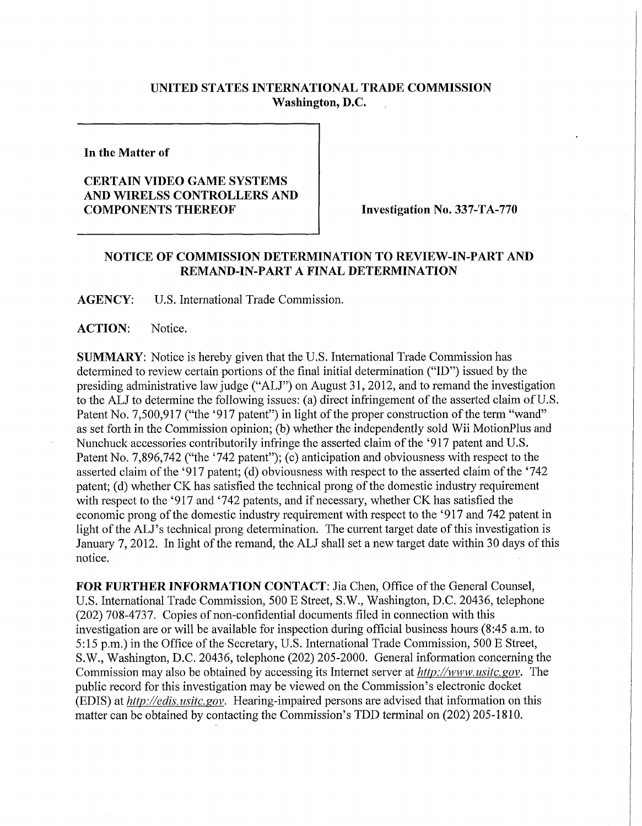## **UNITED STATES INTERNATIONAL TRADE COMMISSION Washington, D.C.**

**In the Matter of** 

## **CERTAIN VIDEO GAME SYSTEMS AND WIRELSS CONTROLLERS AND COMPONENTS THEREOF INVestigation No. 337-TA-770**

## **NOTICE OF COMMISSION DETERMINATION TO REVIEW-IN-PART AND REMAND-IN-PART A FINAL DETERMINATION**

**AGENCY:** U.S. International Trade Commission.

**ACTION:** Notice.

**SUMMARY:** Notice is hereby given that the U.S. International Trade Commission has determined to review certain portions of the final initial determination ("ID") issued by the presiding administrative law judge ("ALJ") on August 31, 2012, and to remand the investigation to the ALJ to determine the following issues: (a) direct infringement of the asserted claim of U.S. Patent No. 7,500,917 ("the '917 patent") in light of the proper construction of the term "wand" as set forth in the Commission opinion; (b) whether the independently sold Wii MotionPlus and Nunchuck accessories contributorily infringe the asserted claim of the '917 patent and U.S. Patent No. 7,896,742 ("the '742 patent"); (c) anticipation and obviousness with respect to the asserted claim of the '917 patent; (d) obviousness with respect to the asserted claim of the '742 patent; (d) whether CK has satisfied the technical prong of the domestic industry requirement with respect to the '917 and '742 patents, and if necessary, whether CK has satisfied the economic prong of the domestic industry requirement with respect to the '917 and 742 patent in light of the ALJ's technical prong determination. The current target date of this investigation is January 7,2012. In light of the remand, the ALJ shall set a new target date within 30 days of this notice.

FOR FURTHER INFORMATION CONTACT: Jia Chen, Office of the General Counsel, U.S. International Trade Commission, 500 E Street, S.W., Washington, D.C. 20436, telephone (202) 708-4737. Copies of non-confidential documents filed in connection with this investigation are or will be available for inspection during official business hours (8:45 a.m. to 5:15 p.m.) in the Office of the Secretary, U.S. International Trade Commission, 500 E Street, S.W., Washington, D.C. 20436, telephone (202) 205-2000. General information concerning the Commission may also be obtained by accessing its Internet server at *http://www. usitc. gov.* The public record for this investigation may be viewed on the Commission's electronic docket (EDIS) at *http://edis. usitc. gov.* Hearing-impaired persons are advised that information on this matter can be obtained by contacting the Commission's TDD terminal on (202) 205-1810.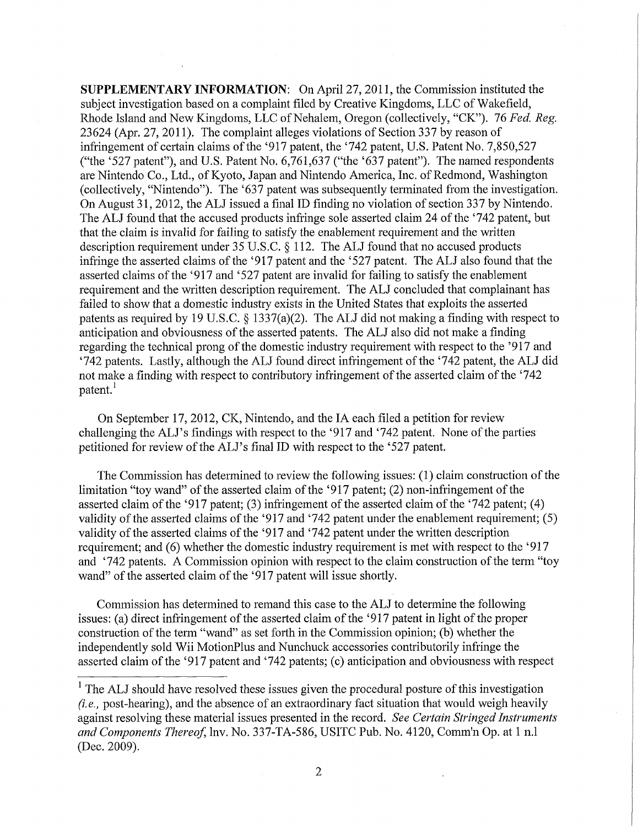**SUPPLEMENTARY INFORMATION:** On April 27, 2011, the Commission instituted the subject investigation based on a complaint filed by Creative Kingdoms, LLC of Wakefield, Rhode Island and New Kingdoms, LLC of Nehalem, Oregon (collectively, "CK"). 76 *Fed, Reg.*  23624 (Apr. 27, 2011). The complaint alleges violations of Section 337 by reason of infringement of certain claims of the '917 patent, the '742 patent, U.S. Patent No. 7,850,527 ("the '527 patent"), and U.S. Patent No.  $6,761,637$  ("the ' $637$  patent"). The named respondents are Nintendo Co., Ltd., of Kyoto, Japan and Nintendo America, Inc. of Redmond, Washington (collectively, "Nintendo"). The '637 patent was subsequently terminated from the investigation. On August 31, 2012, the ALJ issued a final ID finding no violation of section 337 by Nintendo. The ALJ found that the accused products infringe sole asserted claim 24 of the '742 patent, but that the claim is invalid for failing to satisfy the enablement requirement and the written description requirement under 35 U.S.C. § 112. The ALJ found that no accused products infringe the asserted claims of the '917 patent and the '527 patent. The ALJ also found that the asserted claims of the '917 and '527 patent are invalid for failing to satisfy the enablement requirement and the written description requirement. The ALJ concluded that complainant has failed to show that a domestic industry exists in the United States that exploits the asserted patents as required by 19 U.S.C. § 1337(a)(2). The ALJ did not making a finding with respect to anticipation and obviousness of the asserted patents. The ALJ also did not make a finding regarding the technical prong of the domestic industry requirement with respect to the '917 and '742 patents. Lastly, although the ALJ found direct infringement of the '742 patent, the ALJ did not make a finding with respect to contributory infringement of the asserted claim of the '742 patent.<sup>1</sup>

On September 17, 2012, CK, Nintendo, and the IA each filed a petition for review challenging the ALJ's findings with respect to the '917 and '742 patent. None of the parties petitioned for review of the ALJ's final ID with respect to the '527 patent.

The Commission has determined to review the following issues: (1) claim construction of the limitation "toy wand" of the asserted claim of the '917 patent; (2) non-infringement of the asserted claim of the '917 patent; (3) infringement of the asserted claim of the '742 patent; (4) validity of the asserted claims of the '917 and '742 patent under the enablement requirement; (5) validity of the asserted claims of the '917 and '742 patent under the written description requirement; and (6) whether the domestic industry requirement is met with respect to the '917 and '742 patents. A Commission opinion with respect to the claim construction of the term "toy wand" of the asserted claim of the '917 patent will issue shortly.

Commission has determined to remand this case to the ALJ to determine the following issues: (a) direct infringement of the asserted claim of the '917 patent in light of the proper construction of the term "wand" as set forth in the Commission opinion; (b) whether the independently sold Wii MotionPlus and Nunchuck accessories contributorily infringe the asserted claim of the '917 patent and '742 patents; (c) anticipation and obviousness with respect

<sup>&</sup>lt;sup>1</sup> The ALJ should have resolved these issues given the procedural posture of this investigation *(i.e.,* post-hearing), and the absence of an extraordinary fact situation that would weigh heavily against resolving these material issues presented in the record. *See Certain Stringed Instruments and Components Thereof*, lnv. No. 337-TA-586, USITC Pub. No. 4120, Comm'n Op. at 1 n.l (Dec. 2009).